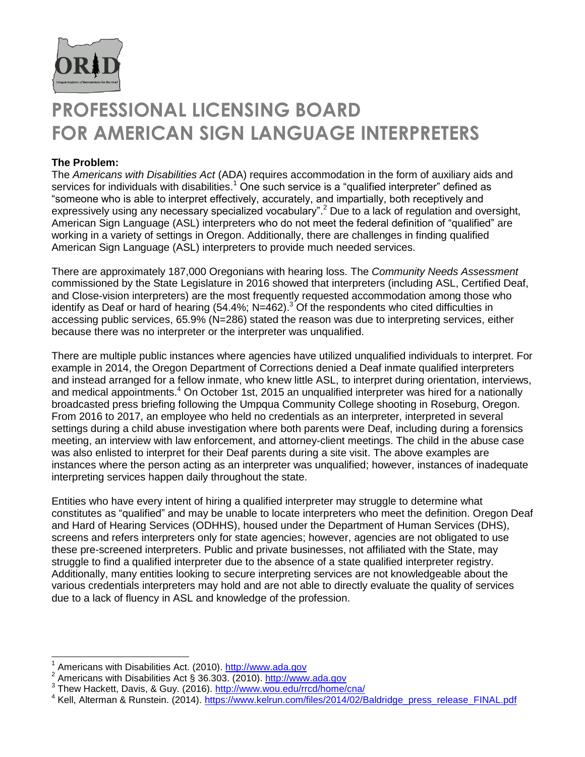

## **PROFESSIONAL LICENSING BOARD FOR AMERICAN SIGN LANGUAGE INTERPRETERS**

## **The Problem:**

The *Americans with Disabilities Act* (ADA) requires accommodation in the form of auxiliary aids and services for individuals with disabilities.<sup>1</sup> One such service is a "qualified interpreter" defined as "someone who is able to interpret effectively, accurately, and impartially, both receptively and expressively using any necessary specialized vocabulary".<sup>2</sup> Due to a lack of regulation and oversight, American Sign Language (ASL) interpreters who do not meet the federal definition of "qualified" are working in a variety of settings in Oregon. Additionally, there are challenges in finding qualified American Sign Language (ASL) interpreters to provide much needed services.

There are approximately 187,000 Oregonians with hearing loss. The *Community Needs Assessment* commissioned by the State Legislature in 2016 showed that interpreters (including ASL, Certified Deaf, and Close-vision interpreters) are the most frequently requested accommodation among those who identify as Deaf or hard of hearing (54.4%; N=462).<sup>3</sup> Of the respondents who cited difficulties in accessing public services, 65.9% (N=286) stated the reason was due to interpreting services, either because there was no interpreter or the interpreter was unqualified.

There are multiple public instances where agencies have utilized unqualified individuals to interpret. For example in 2014, the Oregon Department of Corrections denied a Deaf inmate qualified interpreters and instead arranged for a fellow inmate, who knew little ASL, to interpret during orientation, interviews, and medical appointments.<sup>4</sup> On October 1st, 2015 an unqualified interpreter was hired for a nationally broadcasted press briefing following the Umpqua Community College shooting in Roseburg, Oregon. From 2016 to 2017, an employee who held no credentials as an interpreter, interpreted in several settings during a child abuse investigation where both parents were Deaf, including during a forensics meeting, an interview with law enforcement, and attorney-client meetings. The child in the abuse case was also enlisted to interpret for their Deaf parents during a site visit. The above examples are instances where the person acting as an interpreter was unqualified; however, instances of inadequate interpreting services happen daily throughout the state.

Entities who have every intent of hiring a qualified interpreter may struggle to determine what constitutes as "qualified" and may be unable to locate interpreters who meet the definition. Oregon Deaf and Hard of Hearing Services (ODHHS), housed under the Department of Human Services (DHS), screens and refers interpreters only for state agencies; however, agencies are not obligated to use these pre-screened interpreters. Public and private businesses, not affiliated with the State, may struggle to find a qualified interpreter due to the absence of a state qualified interpreter registry. Additionally, many entities looking to secure interpreting services are not knowledgeable about the various credentials interpreters may hold and are not able to directly evaluate the quality of services due to a lack of fluency in ASL and knowledge of the profession.

<sup>1</sup> Americans with Disabilities Act. (2010). [http://www.ada.gov](http://www.ada.gov/)

<sup>&</sup>lt;sup>2</sup> Americans with Disabilities Act  $\S$  36.303. (2010). [http://www.ada.gov](http://www.ada.gov/)

<sup>&</sup>lt;sup>3</sup> Thew Hackett, Davis, & Guy. (2016). <http://www.wou.edu/rrcd/home/cna/>

<sup>&</sup>lt;sup>4</sup> Kell, Alterman & Runstein. (2014). [https://www.kelrun.com/files/2014/02/Baldridge\\_press\\_release\\_FINAL.pdf](https://www.kelrun.com/files/2014/02/Baldridge_press_release_FINAL.pdf)